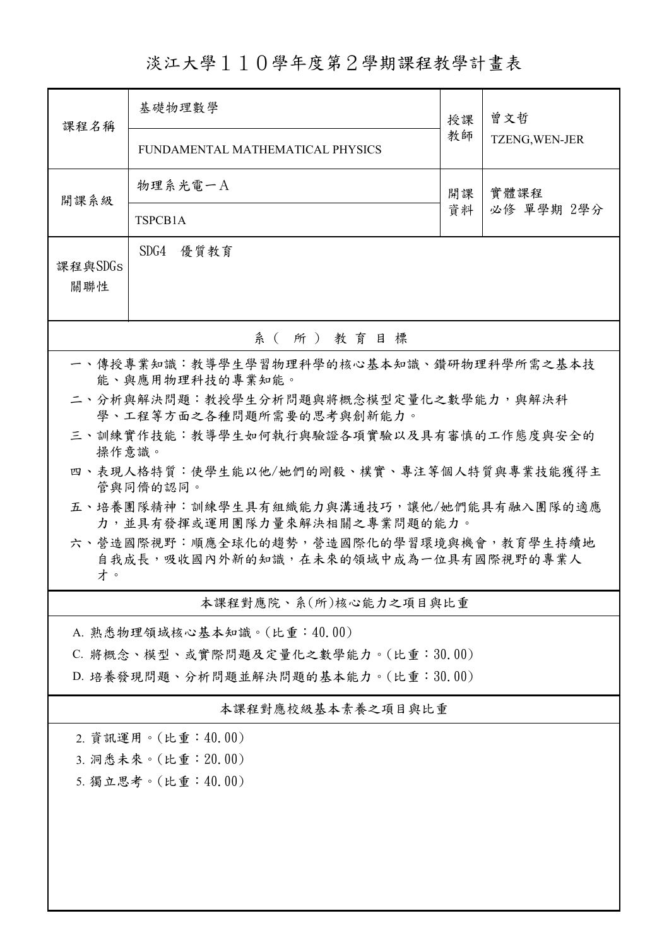淡江大學110學年度第2學期課程教學計畫表

| 課程名稱                                                                                                                  | 基礎物理數學                           |          | 曾文哲                |  |  |  |  |  |  |
|-----------------------------------------------------------------------------------------------------------------------|----------------------------------|----------|--------------------|--|--|--|--|--|--|
|                                                                                                                       | FUNDAMENTAL MATHEMATICAL PHYSICS | 教師       | TZENG, WEN-JER     |  |  |  |  |  |  |
| 開課系級                                                                                                                  | 物理系光電一A                          | 開課<br>資料 | 實體課程<br>必修 單學期 2學分 |  |  |  |  |  |  |
|                                                                                                                       | TSPCB1A                          |          |                    |  |  |  |  |  |  |
| SDG4<br>優質教育<br>課程與SDGs<br>關聯性                                                                                        |                                  |          |                    |  |  |  |  |  |  |
| 系(所)教育目標                                                                                                              |                                  |          |                    |  |  |  |  |  |  |
| 一、傳授專業知識:教導學生學習物理科學的核心基本知識、鑽研物理科學所需之基本技<br>能、與應用物理科技的專業知能。                                                            |                                  |          |                    |  |  |  |  |  |  |
| 二、分析與解決問題:教授學生分析問題與將概念模型定量化之數學能力,與解決科<br>學、工程等方面之各種問題所需要的思考與創新能力。                                                     |                                  |          |                    |  |  |  |  |  |  |
| 三、訓練實作技能:教導學生如何執行與驗證各項實驗以及具有審慎的工作態度與安全的<br>操作意識。                                                                      |                                  |          |                    |  |  |  |  |  |  |
| 四、表現人格特質:使學生能以他/她們的剛毅、樸實、專注等個人特質與專業技能獲得主<br>管與同儕的認同。                                                                  |                                  |          |                    |  |  |  |  |  |  |
| 五、培養團隊精神:訓練學生具有組織能力與溝通技巧,讓他/她們能具有融入團隊的適應                                                                              |                                  |          |                    |  |  |  |  |  |  |
| 力,並具有發揮或運用團隊力量來解決相關之專業問題的能力。<br>六、營造國際視野:順應全球化的趨勢,營造國際化的學習環境與機會,教育學生持續地<br>自我成長,吸收國內外新的知識,在未來的領域中成為一位具有國際視野的專業人<br>才。 |                                  |          |                    |  |  |  |  |  |  |
| 本課程對應院、系(所)核心能力之項目與比重                                                                                                 |                                  |          |                    |  |  |  |  |  |  |
|                                                                                                                       | A. 熟悉物理領域核心基本知識。(比重:40.00)       |          |                    |  |  |  |  |  |  |
| C. 將概念、模型、或實際問題及定量化之數學能力。(比重:30.00)                                                                                   |                                  |          |                    |  |  |  |  |  |  |
| D. 培養發現問題、分析問題並解決問題的基本能力。(比重:30.00)                                                                                   |                                  |          |                    |  |  |  |  |  |  |
| 本課程對應校級基本素養之項目與比重                                                                                                     |                                  |          |                    |  |  |  |  |  |  |
| 2. 資訊運用。(比重:40.00)                                                                                                    |                                  |          |                    |  |  |  |  |  |  |
| 3. 洞悉未來。(比重: 20.00)                                                                                                   |                                  |          |                    |  |  |  |  |  |  |
|                                                                                                                       | 5. 獨立思考。(比重:40.00)               |          |                    |  |  |  |  |  |  |
|                                                                                                                       |                                  |          |                    |  |  |  |  |  |  |
|                                                                                                                       |                                  |          |                    |  |  |  |  |  |  |
|                                                                                                                       |                                  |          |                    |  |  |  |  |  |  |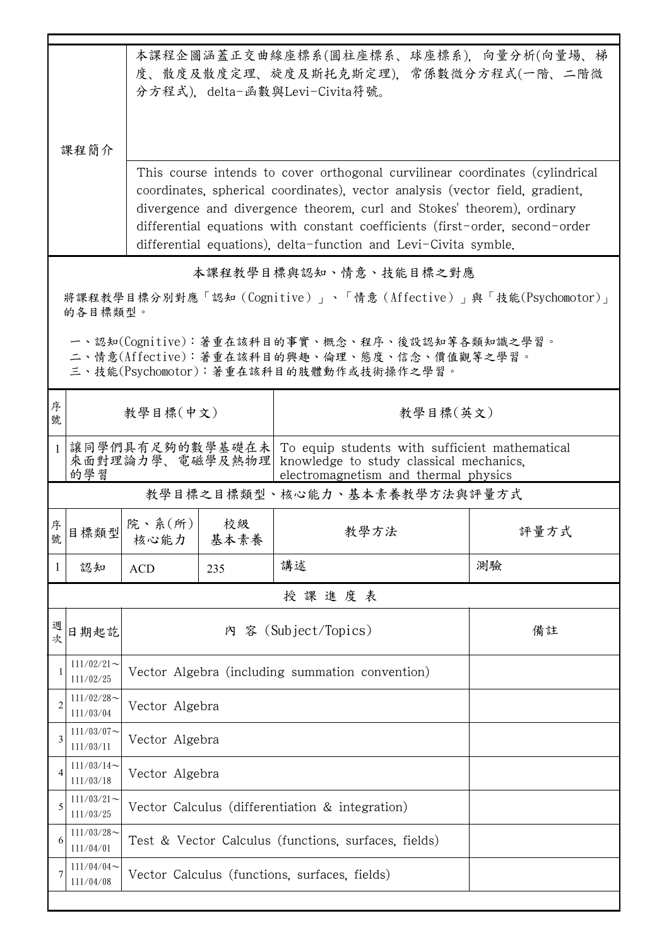|                                                                         | 课程简介                                                                                     | 本課程企圖涵蓋正交曲線座標系(圓柱座標系、球座標系),向量分析(向量場、梯<br>度、散度及散度定理、旋度及斯托克斯定理),常係數微分方程式(一階、二階微<br>分方程式), delta-函數與Levi-Civita符號。                                                       |                |                                                                                              |      |  |  |
|-------------------------------------------------------------------------|------------------------------------------------------------------------------------------|-----------------------------------------------------------------------------------------------------------------------------------------------------------------------|----------------|----------------------------------------------------------------------------------------------|------|--|--|
|                                                                         |                                                                                          | This course intends to cover orthogonal curvilinear coordinates (cylindrical                                                                                          |                |                                                                                              |      |  |  |
|                                                                         |                                                                                          | coordinates, spherical coordinates), vector analysis (vector field, gradient,                                                                                         |                |                                                                                              |      |  |  |
|                                                                         |                                                                                          | divergence and divergence theorem, curl and Stokes' theorem), ordinary                                                                                                |                |                                                                                              |      |  |  |
|                                                                         |                                                                                          |                                                                                                                                                                       |                | differential equations with constant coefficients (first-order, second-order                 |      |  |  |
|                                                                         | differential equations), delta-function and Levi-Civita symble.<br>本課程教學目標與認知、情意、技能目標之對應 |                                                                                                                                                                       |                |                                                                                              |      |  |  |
| 將課程教學目標分別對應「認知(Cognitive)」、「情意(Affective)」與「技能(Psychomotor)」<br>的各目標類型。 |                                                                                          |                                                                                                                                                                       |                |                                                                                              |      |  |  |
|                                                                         |                                                                                          |                                                                                                                                                                       |                |                                                                                              |      |  |  |
|                                                                         |                                                                                          |                                                                                                                                                                       |                | 一、認知(Cognitive):著重在該科目的事實、概念、程序、後設認知等各類知識之學習。<br>二、情意(Affective):著重在該科目的興趣、倫理、態度、信念、價值觀等之學習。 |      |  |  |
|                                                                         |                                                                                          |                                                                                                                                                                       |                | 三、技能(Psychomotor):著重在該科目的肢體動作或技術操作之學習。                                                       |      |  |  |
| 序<br>號                                                                  |                                                                                          | 教學目標(中文)<br>教學目標(英文)                                                                                                                                                  |                |                                                                                              |      |  |  |
|                                                                         | 的學習                                                                                      | 讓同學們具有足夠的數學基礎在未  To equip students with sufficient mathematical<br>來面對理論力學、電磁學及熱物理<br>knowledge to study classical mechanics.<br>electromagnetism and thermal physics |                |                                                                                              |      |  |  |
| 教學目標之目標類型、核心能力、基本素養教學方法與評量方式                                            |                                                                                          |                                                                                                                                                                       |                |                                                                                              |      |  |  |
| 序號<br><u>يا (لا</u>                                                     | 日標類型                                                                                     | 院、系 $(\hbox{\tt m})\vert$<br>核心能力                                                                                                                                     | - 校級<br>基本素養   | 教學方法                                                                                         | 評量方式 |  |  |
| 1                                                                       | 認知                                                                                       | <b>ACD</b>                                                                                                                                                            | 235            | 講述                                                                                           | 測驗   |  |  |
| 授課進度表                                                                   |                                                                                          |                                                                                                                                                                       |                |                                                                                              |      |  |  |
| 週<br>。<br>次                                                             | 日期起訖                                                                                     | 內 容 (Subject/Topics)<br>備註                                                                                                                                            |                |                                                                                              |      |  |  |
|                                                                         | $111/02/21$ ~<br>111/02/25                                                               | Vector Algebra (including summation convention)                                                                                                                       |                |                                                                                              |      |  |  |
| $\overline{2}$                                                          | $111/02/28$ ~<br>111/03/04                                                               | Vector Algebra                                                                                                                                                        |                |                                                                                              |      |  |  |
| 3                                                                       | $111/03/07$ ~<br>111/03/11                                                               | Vector Algebra                                                                                                                                                        |                |                                                                                              |      |  |  |
| 4                                                                       | $111/03/14$ ~<br>111/03/18                                                               |                                                                                                                                                                       | Vector Algebra |                                                                                              |      |  |  |
| 5                                                                       | $111/03/21$ ~<br>111/03/25                                                               | Vector Calculus (differentiation & integration)                                                                                                                       |                |                                                                                              |      |  |  |
| 6                                                                       | $111/03/28$ ~<br>111/04/01                                                               | Test & Vector Calculus (functions, surfaces, fields)                                                                                                                  |                |                                                                                              |      |  |  |
|                                                                         | $111/04/04$ ~<br>111/04/08                                                               | Vector Calculus (functions, surfaces, fields)                                                                                                                         |                |                                                                                              |      |  |  |
|                                                                         |                                                                                          |                                                                                                                                                                       |                |                                                                                              |      |  |  |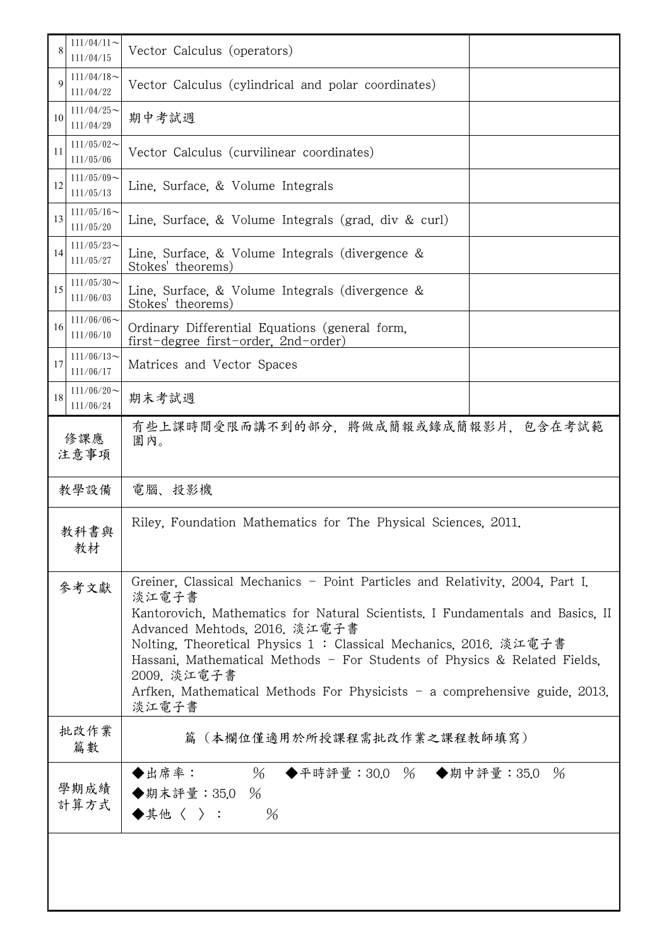| 8                                                                                                                          | $111/04/11$ ~<br>111/04/15 | Vector Calculus (operators)                                                                                                                                                                                                                                                                                                                                                                                                                                     |  |  |
|----------------------------------------------------------------------------------------------------------------------------|----------------------------|-----------------------------------------------------------------------------------------------------------------------------------------------------------------------------------------------------------------------------------------------------------------------------------------------------------------------------------------------------------------------------------------------------------------------------------------------------------------|--|--|
| $\mathbf Q$                                                                                                                | $111/04/18$ ~<br>111/04/22 | Vector Calculus (cylindrical and polar coordinates)                                                                                                                                                                                                                                                                                                                                                                                                             |  |  |
| 10                                                                                                                         | $111/04/25$ ~<br>111/04/29 | 期中考試週                                                                                                                                                                                                                                                                                                                                                                                                                                                           |  |  |
| 11                                                                                                                         | $111/05/02$ ~<br>111/05/06 | Vector Calculus (curvilinear coordinates)                                                                                                                                                                                                                                                                                                                                                                                                                       |  |  |
| 12                                                                                                                         | $111/05/09$ ~<br>111/05/13 | Line, Surface, & Volume Integrals                                                                                                                                                                                                                                                                                                                                                                                                                               |  |  |
| 13                                                                                                                         | $111/05/16$ ~<br>111/05/20 | Line, Surface, & Volume Integrals (grad, div $\&$ curl)                                                                                                                                                                                                                                                                                                                                                                                                         |  |  |
| 14                                                                                                                         | $111/05/23$ ~<br>111/05/27 | Line, Surface, & Volume Integrals (divergence &<br>Stokes' theorems)                                                                                                                                                                                                                                                                                                                                                                                            |  |  |
| 15                                                                                                                         | $111/05/30$ ~<br>111/06/03 | Line, Surface, & Volume Integrals (divergence $\&$<br>Stokes' theorems)                                                                                                                                                                                                                                                                                                                                                                                         |  |  |
| $111/06/06$ ~<br>16<br>Ordinary Differential Equations (general form.<br>111/06/10<br>first-degree first-order, 2nd-order) |                            |                                                                                                                                                                                                                                                                                                                                                                                                                                                                 |  |  |
| 17                                                                                                                         | $111/06/13$ ~<br>111/06/17 | Matrices and Vector Spaces                                                                                                                                                                                                                                                                                                                                                                                                                                      |  |  |
| 18                                                                                                                         | $111/06/20$ ~<br>111/06/24 | 期末考試週                                                                                                                                                                                                                                                                                                                                                                                                                                                           |  |  |
| 修課應<br>注意事項                                                                                                                |                            | 有些上課時間受限而講不到的部分,將做成簡報或錄成簡報影片,包含在考試範<br>圍內。                                                                                                                                                                                                                                                                                                                                                                                                                      |  |  |
|                                                                                                                            | 教學設備                       | 電腦、投影機                                                                                                                                                                                                                                                                                                                                                                                                                                                          |  |  |
| 教科書與<br>教材                                                                                                                 |                            | Riley, Foundation Mathematics for The Physical Sciences, 2011.                                                                                                                                                                                                                                                                                                                                                                                                  |  |  |
| 參考文獻                                                                                                                       |                            | Greiner, Classical Mechanics - Point Particles and Relativity, 2004, Part I.<br>淡江電子書<br>Kantorovich, Mathematics for Natural Scientists. I Fundamentals and Basics, II<br>Advanced Mehtods, 2016. 淡江電子書<br>Nolting, Theoretical Physics 1: Classical Mechanics, 2016. 淡江電子書<br>Hassani, Mathematical Methods - For Students of Physics & Related Fields,<br>2009. 淡江電子書<br>Arfken, Mathematical Methods For Physicists - a comprehensive guide, 2013.<br>淡江電子書 |  |  |
|                                                                                                                            | 批改作業<br>篇數                 | 篇(本欄位僅適用於所授課程需批改作業之課程教師填寫)                                                                                                                                                                                                                                                                                                                                                                                                                                      |  |  |
| 學期成績<br>計算方式                                                                                                               |                            | $\%$<br>◆出席率:<br>◆平時評量:30.0 % ◆期中評量:35.0 %<br>◆期末評量: 35.0 %<br>$\blacklozenge$ 其他〈 〉:<br>$\%$                                                                                                                                                                                                                                                                                                                                                                   |  |  |
|                                                                                                                            |                            |                                                                                                                                                                                                                                                                                                                                                                                                                                                                 |  |  |